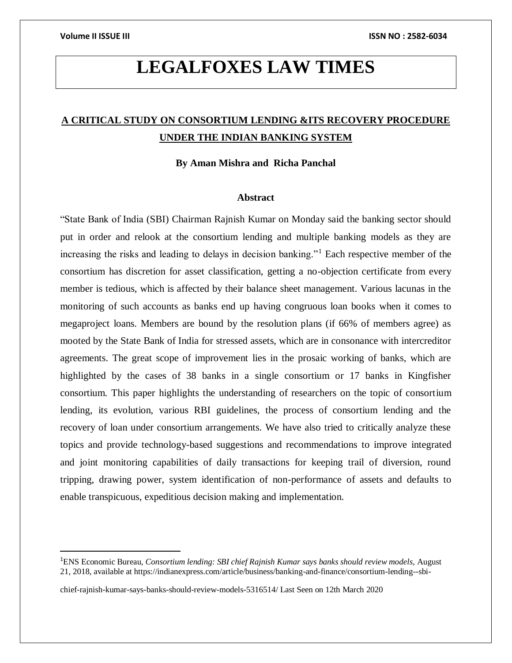$\overline{\phantom{a}}$ 

# **LEGALFOXES LAW TIMES**

## **A CRITICAL STUDY ON CONSORTIUM LENDING &ITS RECOVERY PROCEDURE UNDER THE INDIAN BANKING SYSTEM**

**By Aman Mishra and Richa Panchal** 

### **Abstract**

"State Bank of India (SBI) Chairman Rajnish Kumar on Monday said the banking sector should put in order and relook at the consortium lending and multiple banking models as they are increasing the risks and leading to delays in decision banking."<sup>1</sup> Each respective member of the consortium has discretion for asset classification, getting a no-objection certificate from every member is tedious, which is affected by their balance sheet management. Various lacunas in the monitoring of such accounts as banks end up having congruous loan books when it comes to megaproject loans. Members are bound by the resolution plans (if 66% of members agree) as mooted by the State Bank of India for stressed assets, which are in consonance with intercreditor agreements. The great scope of improvement lies in the prosaic working of banks, which are highlighted by the cases of 38 banks in a single consortium or 17 banks in Kingfisher consortium. This paper highlights the understanding of researchers on the topic of consortium lending, its evolution, various RBI guidelines, the process of consortium lending and the recovery of loan under consortium arrangements. We have also tried to critically analyze these topics and provide technology-based suggestions and recommendations to improve integrated and joint monitoring capabilities of daily transactions for keeping trail of diversion, round tripping, drawing power, system identification of non-performance of assets and defaults to enable transpicuous, expeditious decision making and implementation.

<sup>1</sup>ENS Economic Bureau, *Consortium lending: SBI chief Rajnish Kumar says banks should review models,* August 21, 2018, available at https://indianexpress.com/article/business/banking-and-finance/consortium-lending--sbi-

chief-rajnish-kumar-says-banks-should-review-models-5316514/ Last Seen on 12th March 2020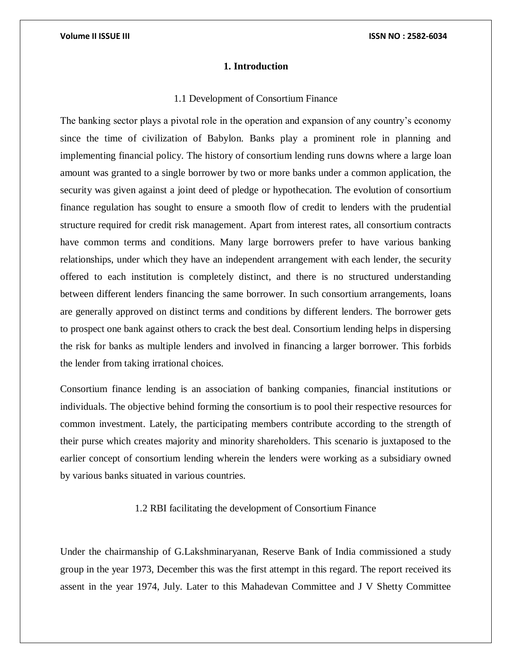### **1. Introduction**

### 1.1 Development of Consortium Finance

The banking sector plays a pivotal role in the operation and expansion of any country's economy since the time of civilization of Babylon. Banks play a prominent role in planning and implementing financial policy. The history of consortium lending runs downs where a large loan amount was granted to a single borrower by two or more banks under a common application, the security was given against a joint deed of pledge or hypothecation. The evolution of consortium finance regulation has sought to ensure a smooth flow of credit to lenders with the prudential structure required for credit risk management. Apart from interest rates, all consortium contracts have common terms and conditions. Many large borrowers prefer to have various banking relationships, under which they have an independent arrangement with each lender, the security offered to each institution is completely distinct, and there is no structured understanding between different lenders financing the same borrower. In such consortium arrangements, loans are generally approved on distinct terms and conditions by different lenders. The borrower gets to prospect one bank against others to crack the best deal. Consortium lending helps in dispersing the risk for banks as multiple lenders and involved in financing a larger borrower. This forbids the lender from taking irrational choices.

Consortium finance lending is an association of banking companies, financial institutions or individuals. The objective behind forming the consortium is to pool their respective resources for common investment. Lately, the participating members contribute according to the strength of their purse which creates majority and minority shareholders. This scenario is juxtaposed to the earlier concept of consortium lending wherein the lenders were working as a subsidiary owned by various banks situated in various countries.

### 1.2 RBI facilitating the development of Consortium Finance

Under the chairmanship of G.Lakshminaryanan, Reserve Bank of India commissioned a study group in the year 1973, December this was the first attempt in this regard. The report received its assent in the year 1974, July. Later to this Mahadevan Committee and J V Shetty Committee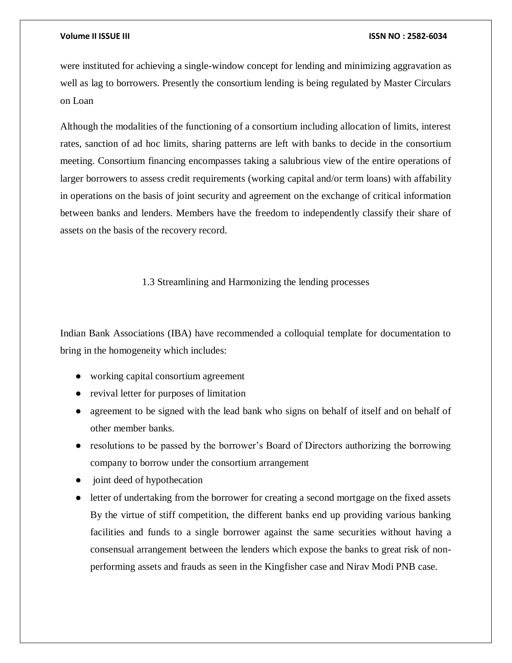were instituted for achieving a single-window concept for lending and minimizing aggravation as well as lag to borrowers. Presently the consortium lending is being regulated by Master Circulars on Loan

Although the modalities of the functioning of a consortium including allocation of limits, interest rates, sanction of ad hoc limits, sharing patterns are left with banks to decide in the consortium meeting. Consortium financing encompasses taking a salubrious view of the entire operations of larger borrowers to assess credit requirements (working capital and/or term loans) with affability in operations on the basis of joint security and agreement on the exchange of critical information between banks and lenders. Members have the freedom to independently classify their share of assets on the basis of the recovery record.

### 1.3 Streamlining and Harmonizing the lending processes

Indian Bank Associations (IBA) have recommended a colloquial template for documentation to bring in the homogeneity which includes:

- working capital consortium agreement
- revival letter for purposes of limitation
- agreement to be signed with the lead bank who signs on behalf of itself and on behalf of other member banks.
- resolutions to be passed by the borrower's Board of Directors authorizing the borrowing company to borrow under the consortium arrangement
- joint deed of hypothecation
- letter of undertaking from the borrower for creating a second mortgage on the fixed assets By the virtue of stiff competition, the different banks end up providing various banking facilities and funds to a single borrower against the same securities without having a consensual arrangement between the lenders which expose the banks to great risk of nonperforming assets and frauds as seen in the Kingfisher case and Nirav Modi PNB case.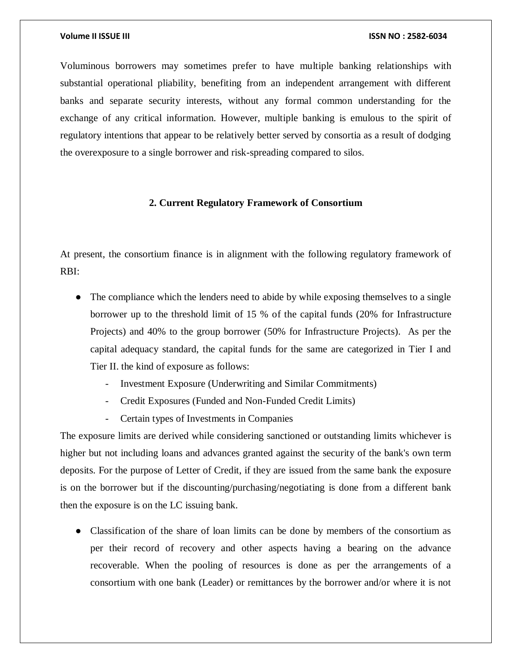Voluminous borrowers may sometimes prefer to have multiple banking relationships with substantial operational pliability, benefiting from an independent arrangement with different banks and separate security interests, without any formal common understanding for the exchange of any critical information. However, multiple banking is emulous to the spirit of regulatory intentions that appear to be relatively better served by consortia as a result of dodging the overexposure to a single borrower and risk-spreading compared to silos.

### **2. Current Regulatory Framework of Consortium**

At present, the consortium finance is in alignment with the following regulatory framework of RBI:

- The compliance which the lenders need to abide by while exposing themselves to a single borrower up to the threshold limit of 15 % of the capital funds (20% for Infrastructure Projects) and 40% to the group borrower (50% for Infrastructure Projects). As per the capital adequacy standard, the capital funds for the same are categorized in Tier I and Tier II. the kind of exposure as follows:
	- Investment Exposure (Underwriting and Similar Commitments)
	- Credit Exposures (Funded and Non-Funded Credit Limits)
	- Certain types of Investments in Companies

The exposure limits are derived while considering sanctioned or outstanding limits whichever is higher but not including loans and advances granted against the security of the bank's own term deposits. For the purpose of Letter of Credit, if they are issued from the same bank the exposure is on the borrower but if the discounting/purchasing/negotiating is done from a different bank then the exposure is on the LC issuing bank.

• Classification of the share of loan limits can be done by members of the consortium as per their record of recovery and other aspects having a bearing on the advance recoverable. When the pooling of resources is done as per the arrangements of a consortium with one bank (Leader) or remittances by the borrower and/or where it is not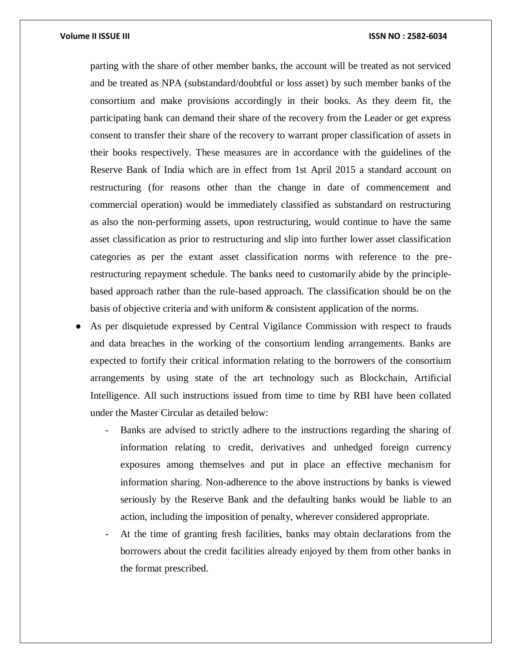parting with the share of other member banks, the account will be treated as not serviced and be treated as NPA (substandard/doubtful or loss asset) by such member banks of the consortium and make provisions accordingly in their books. As they deem fit, the participating bank can demand their share of the recovery from the Leader or get express consent to transfer their share of the recovery to warrant proper classification of assets in their books respectively. These measures are in accordance with the guidelines of the Reserve Bank of India which are in effect from 1st April 2015 a standard account on restructuring (for reasons other than the change in date of commencement and commercial operation) would be immediately classified as substandard on restructuring as also the non-performing assets, upon restructuring, would continue to have the same asset classification as prior to restructuring and slip into further lower asset classification categories as per the extant asset classification norms with reference to the prerestructuring repayment schedule. The banks need to customarily abide by the principlebased approach rather than the rule-based approach. The classification should be on the basis of objective criteria and with uniform & consistent application of the norms.

- As per disquietude expressed by Central Vigilance Commission with respect to frauds and data breaches in the working of the consortium lending arrangements. Banks are expected to fortify their critical information relating to the borrowers of the consortium arrangements by using state of the art technology such as Blockchain, Artificial Intelligence. All such instructions issued from time to time by RBI have been collated under the Master Circular as detailed below:
	- Banks are advised to strictly adhere to the instructions regarding the sharing of information relating to credit, derivatives and unhedged foreign currency exposures among themselves and put in place an effective mechanism for information sharing. Non-adherence to the above instructions by banks is viewed seriously by the Reserve Bank and the defaulting banks would be liable to an action, including the imposition of penalty, wherever considered appropriate.
	- At the time of granting fresh facilities, banks may obtain declarations from the borrowers about the credit facilities already enjoyed by them from other banks in the format prescribed.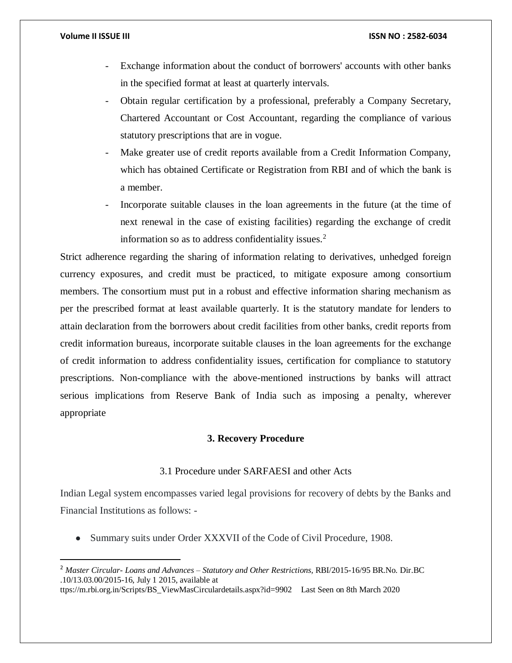$\overline{\phantom{a}}$ 

### **Volume II ISSUE III ISSN NO : 2582-6034**

- Exchange information about the conduct of borrowers' accounts with other banks in the specified format at least at quarterly intervals.
- Obtain regular certification by a professional, preferably a Company Secretary, Chartered Accountant or Cost Accountant, regarding the compliance of various statutory prescriptions that are in vogue.
- Make greater use of credit reports available from a Credit Information Company, which has obtained Certificate or Registration from RBI and of which the bank is a member.
- Incorporate suitable clauses in the loan agreements in the future (at the time of next renewal in the case of existing facilities) regarding the exchange of credit information so as to address confidentiality issues.<sup>2</sup>

Strict adherence regarding the sharing of information relating to derivatives, unhedged foreign currency exposures, and credit must be practiced, to mitigate exposure among consortium members. The consortium must put in a robust and effective information sharing mechanism as per the prescribed format at least available quarterly. It is the statutory mandate for lenders to attain declaration from the borrowers about credit facilities from other banks, credit reports from credit information bureaus, incorporate suitable clauses in the loan agreements for the exchange of credit information to address confidentiality issues, certification for compliance to statutory prescriptions. Non-compliance with the above-mentioned instructions by banks will attract serious implications from Reserve Bank of India such as imposing a penalty, wherever appropriate

### **3. Recovery Procedure**

### 3.1 Procedure under SARFAESI and other Acts

Indian Legal system encompasses varied legal provisions for recovery of debts by the Banks and Financial Institutions as follows: -

• Summary suits under Order XXXVII of the Code of Civil Procedure, 1908.

<sup>2</sup> *Master Circular- Loans and Advances – Statutory and Other Restrictions,* RBI/2015-16/95 BR.No. Dir.BC .10/13.03.00/2015-16, July 1 2015, available at

ttps://m.rbi.org.in/Scripts/BS\_ViewMasCirculardetails.aspx?id=9902 Last Seen on 8th March 2020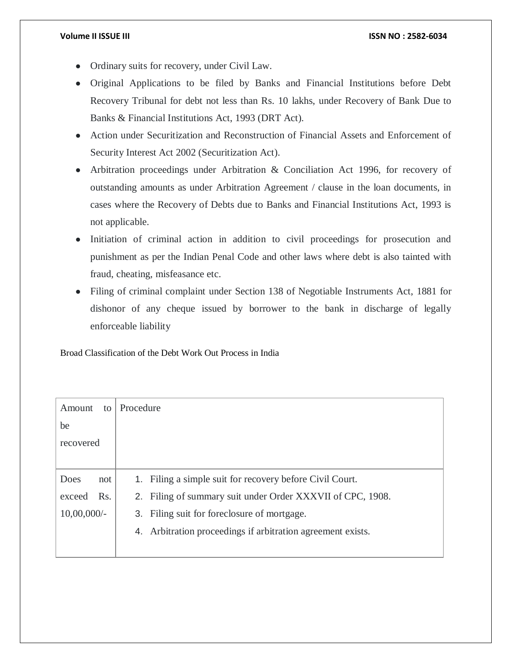- Ordinary suits for recovery, under Civil Law.
- Original Applications to be filed by Banks and Financial Institutions before Debt Recovery Tribunal for debt not less than Rs. 10 lakhs, under Recovery of Bank Due to Banks & Financial Institutions Act, 1993 (DRT Act).
- Action under Securitization and Reconstruction of Financial Assets and Enforcement of Security Interest Act 2002 (Securitization Act).
- Arbitration proceedings under Arbitration & Conciliation Act 1996, for recovery of outstanding amounts as under Arbitration Agreement / clause in the loan documents, in cases where the Recovery of Debts due to Banks and Financial Institutions Act, 1993 is not applicable.
- Initiation of criminal action in addition to civil proceedings for prosecution and punishment as per the Indian Penal Code and other laws where debt is also tainted with fraud, cheating, misfeasance etc.
- Filing of criminal complaint under Section 138 of Negotiable Instruments Act, 1881 for dishonor of any cheque issued by borrower to the bank in discharge of legally enforceable liability

Broad Classification of the Debt Work Out Process in India

| Amount         | to  | Procedure                                                   |
|----------------|-----|-------------------------------------------------------------|
| be             |     |                                                             |
| recovered      |     |                                                             |
|                |     |                                                             |
| Does           | not | 1. Filing a simple suit for recovery before Civil Court.    |
| exceed         | Rs. | 2. Filing of summary suit under Order XXXVII of CPC, 1908.  |
| $10,00,000/$ - |     | 3. Filing suit for foreclosure of mortgage.                 |
|                |     | 4. Arbitration proceedings if arbitration agreement exists. |
|                |     |                                                             |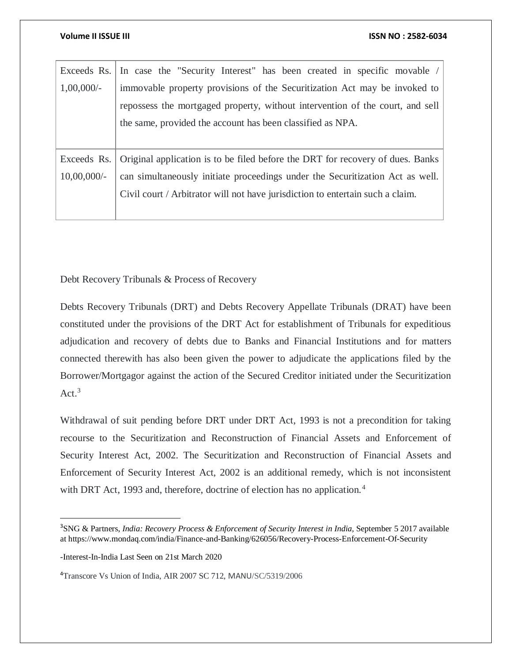|                | Exceeds Rs. In case the "Security Interest" has been created in specific movable /         |
|----------------|--------------------------------------------------------------------------------------------|
| $1,00,000/$ -  | immovable property provisions of the Securitization Act may be invoked to                  |
|                | repossess the mortgaged property, without intervention of the court, and sell              |
|                | the same, provided the account has been classified as NPA.                                 |
|                |                                                                                            |
|                | Exceeds Rs. Original application is to be filed before the DRT for recovery of dues. Banks |
| $10,00,000/$ - | can simultaneously initiate proceedings under the Securitization Act as well.              |
|                | Civil court / Arbitrator will not have jurisdiction to entertain such a claim.             |
|                |                                                                                            |

Debt Recovery Tribunals & Process of Recovery

Debts Recovery Tribunals (DRT) and Debts Recovery Appellate Tribunals (DRAT) have been constituted under the provisions of the DRT Act for establishment of Tribunals for expeditious adjudication and recovery of debts due to Banks and Financial Institutions and for matters connected therewith has also been given the power to adjudicate the applications filed by the Borrower/Mortgagor against the action of the Secured Creditor initiated under the Securitization Act. $3$ 

Withdrawal of suit pending before DRT under DRT Act, 1993 is not a precondition for taking recourse to the Securitization and Reconstruction of Financial Assets and Enforcement of Security Interest Act, 2002. The Securitization and Reconstruction of Financial Assets and Enforcement of Security Interest Act, 2002 is an additional remedy, which is not inconsistent with DRT Act, 1993 and, therefore, doctrine of election has no application.<sup>4</sup>

 $\overline{\phantom{a}}$ 

<sup>4</sup>Transcore Vs Union of India, AIR 2007 SC 712, MANU/SC/5319/2006

<sup>3</sup>SNG & Partners, *India: Recovery Process & Enforcement of Security Interest in India,* September 5 2017 available at https://www.mondaq.com/india/Finance-and-Banking/626056/Recovery-Process-Enforcement-Of-Security

<sup>-</sup>Interest-In-India Last Seen on 21st March 2020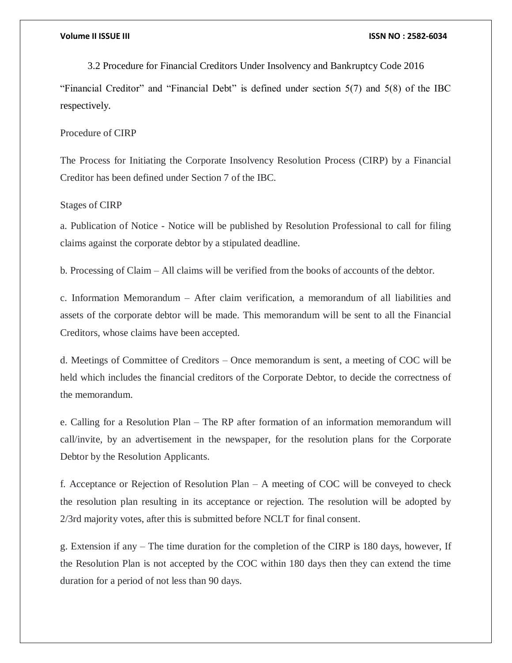3.2 Procedure for Financial Creditors Under Insolvency and Bankruptcy Code 2016

"Financial Creditor" and "Financial Debt" is defined under section 5(7) and 5(8) of the IBC respectively.

Procedure of CIRP

The Process for Initiating the Corporate Insolvency Resolution Process (CIRP) by a Financial Creditor has been defined under Section 7 of the IBC.

### Stages of CIRP

a. Publication of Notice - Notice will be published by Resolution Professional to call for filing claims against the corporate debtor by a stipulated deadline.

b. Processing of Claim – All claims will be verified from the books of accounts of the debtor.

c. Information Memorandum – After claim verification, a memorandum of all liabilities and assets of the corporate debtor will be made. This memorandum will be sent to all the Financial Creditors, whose claims have been accepted.

d. Meetings of Committee of Creditors – Once memorandum is sent, a meeting of COC will be held which includes the financial creditors of the Corporate Debtor, to decide the correctness of the memorandum.

e. Calling for a Resolution Plan – The RP after formation of an information memorandum will call/invite, by an advertisement in the newspaper, for the resolution plans for the Corporate Debtor by the Resolution Applicants.

f. Acceptance or Rejection of Resolution Plan – A meeting of COC will be conveyed to check the resolution plan resulting in its acceptance or rejection. The resolution will be adopted by 2/3rd majority votes, after this is submitted before NCLT for final consent.

g. Extension if any – The time duration for the completion of the CIRP is 180 days, however, If the Resolution Plan is not accepted by the COC within 180 days then they can extend the time duration for a period of not less than 90 days.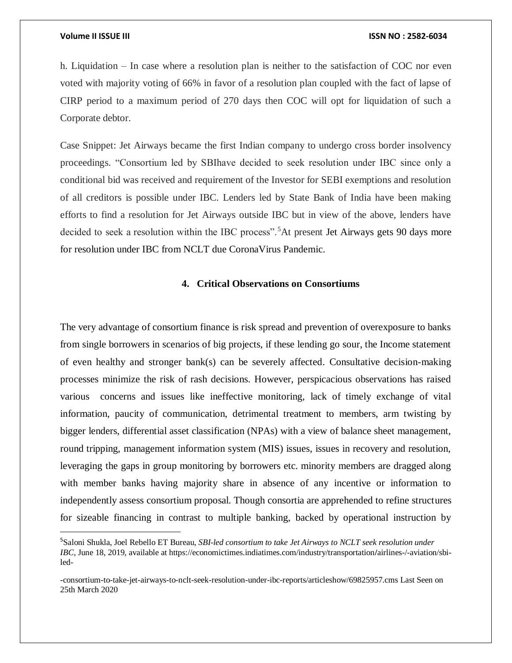$\overline{a}$ 

### **Volume II ISSUE III ISSN NO : 2582-6034**

h. Liquidation – In case where a resolution plan is neither to the satisfaction of COC nor even voted with majority voting of 66% in favor of a resolution plan coupled with the fact of lapse of CIRP period to a maximum period of 270 days then COC will opt for liquidation of such a Corporate debtor.

Case Snippet: Jet Airways became the first Indian company to undergo cross border insolvency proceedings. "Consortium led by SBIhave decided to seek resolution under IBC since only a conditional bid was received and requirement of the Investor for SEBI exemptions and resolution of all creditors is possible under IBC. Lenders led by State Bank of India have been making efforts to find a resolution for Jet Airways outside IBC but in view of the above, lenders have decided to seek a resolution within the IBC process".<sup>5</sup>At present Jet Airways gets 90 days more for resolution under IBC from NCLT due CoronaVirus Pandemic.

### **4. Critical Observations on Consortiums**

The very advantage of consortium finance is risk spread and prevention of overexposure to banks from single borrowers in scenarios of big projects, if these lending go sour, the Income statement of even healthy and stronger bank(s) can be severely affected. Consultative decision-making processes minimize the risk of rash decisions. However, perspicacious observations has raised various concerns and issues like ineffective monitoring, lack of timely exchange of vital information, paucity of communication, detrimental treatment to members, arm twisting by bigger lenders, differential asset classification (NPAs) with a view of balance sheet management, round tripping, management information system (MIS) issues, issues in recovery and resolution, leveraging the gaps in group monitoring by borrowers etc. minority members are dragged along with member banks having majority share in absence of any incentive or information to independently assess consortium proposal. Though consortia are apprehended to refine structures for sizeable financing in contrast to multiple banking, backed by operational instruction by

<sup>5</sup>Saloni Shukla, Joel Rebello ET Bureau, *SBI-led consortium to take Jet Airways to NCLT seek resolution under IBC*, June 18, 2019, available at https://economictimes.indiatimes.com/industry/transportation**/**airlines-/-aviation/sbiled-

<sup>-</sup>consortium-to-take-jet-airways-to-nclt-seek-resolution-under-ibc-reports/articleshow/69825957.cms Last Seen on 25th March 2020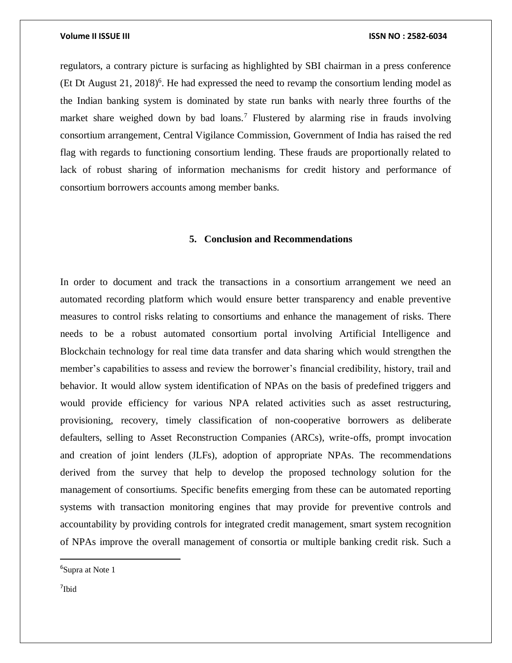regulators, a contrary picture is surfacing as highlighted by SBI chairman in a press conference (Et Dt August  $21$ ,  $2018$ )<sup>6</sup>. He had expressed the need to revamp the consortium lending model as the Indian banking system is dominated by state run banks with nearly three fourths of the market share weighed down by bad loans.<sup>7</sup> Flustered by alarming rise in frauds involving consortium arrangement, Central Vigilance Commission, Government of India has raised the red flag with regards to functioning consortium lending. These frauds are proportionally related to lack of robust sharing of information mechanisms for credit history and performance of consortium borrowers accounts among member banks.

### **5. Conclusion and Recommendations**

In order to document and track the transactions in a consortium arrangement we need an automated recording platform which would ensure better transparency and enable preventive measures to control risks relating to consortiums and enhance the management of risks. There needs to be a robust automated consortium portal involving Artificial Intelligence and Blockchain technology for real time data transfer and data sharing which would strengthen the member's capabilities to assess and review the borrower's financial credibility, history, trail and behavior. It would allow system identification of NPAs on the basis of predefined triggers and would provide efficiency for various NPA related activities such as asset restructuring, provisioning, recovery, timely classification of non-cooperative borrowers as deliberate defaulters, selling to Asset Reconstruction Companies (ARCs), write-offs, prompt invocation and creation of joint lenders (JLFs), adoption of appropriate NPAs. The recommendations derived from the survey that help to develop the proposed technology solution for the management of consortiums. Specific benefits emerging from these can be automated reporting systems with transaction monitoring engines that may provide for preventive controls and accountability by providing controls for integrated credit management, smart system recognition of NPAs improve the overall management of consortia or multiple banking credit risk. Such a

7 Ibid

 $\overline{a}$ 

<sup>&</sup>lt;sup>6</sup>Supra at Note 1